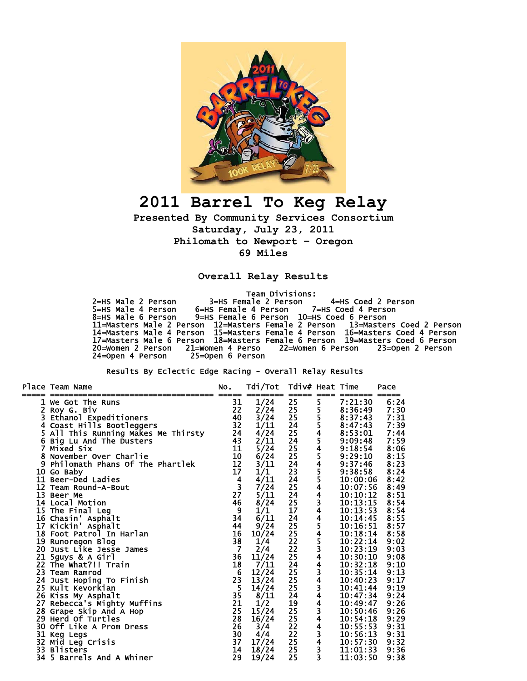

## **2011 Barrel To Keg Relay**

**Presented By Community Services Consortium Saturday, July 23, 2011 Philomath to Newport – Oregon 69 Miles** 

**Overall Relay Results** 

Team Divisions:

 2=HS Male 2 Person 3=HS Female 2 Person 4=HS Coed 2 Person 5=HS Male 4 Person 6=HS Female 4 Person 7=HS Coed 4 Person 8=HS Male 6 Person 9=HS Female 6 Person 10=HS Coed 6 Person 11=Masters Male 2 Person 12=Masters Female 2 Person 13=Masters Coed 2 Person 14=Masters Male 4 Person 15=Masters Female 4 Person 16=Masters Coed 4 Person 17=Masters Male 6 Person 18=Masters Female 6 Person 19=Masters Coed 6 Person 20=Women 2 Person 21=Women 4 Perso 22=Women 6 Person 23=Open 2 Person 24=Open 4 Person 25=Open 6 Person

Results By Eclectic Edge Racing - Overall Relay Results

|                | Place Team Name                                   | NO.             | Tdi/Tot                          | Tdiv# Heat Time                    |                         |                               | Pace |
|----------------|---------------------------------------------------|-----------------|----------------------------------|------------------------------------|-------------------------|-------------------------------|------|
|                | We Got The Runs                                   | 31              |                                  | $=====$<br>25                      | $====$                  | 7:21:30                       | 6:24 |
|                | 2 Roy G. Biv                                      | 22              | 1/24<br>2/24                     | 25                                 | 5                       | 8:36:49                       | 7:30 |
| 3.             | Ethanol Expeditioners                             | 40              | 3/24                             |                                    | 5<br>5<br>5<br>4        | 8:37:43                       | 7:31 |
|                | 4 Coast Hills Bootleggers                         | 32              | 1/11                             | $\frac{25}{24}$                    |                         | 8:47:43                       | 7:39 |
|                | 5 All This Running Makes Me Thirsty               | 24              | 4/24                             |                                    |                         | 8:53:01                       | 7:44 |
|                | 6 Big Lu And The Dusters                          | 43              | 2/11                             |                                    |                         | 9:09:48                       | 7:59 |
| $\overline{7}$ | Mixed Six                                         | 11              | 5/24                             | 25<br>225<br>2224<br>23            | 54545544344545344344344 | 9:18:54                       | 8:06 |
|                | 8 November Over Charlie                           |                 | 6/24                             |                                    |                         |                               | 8:15 |
|                | 9 Philomath Phans Of The Phartlek                 | $\frac{10}{12}$ | 3/11                             |                                    |                         |                               | 8:23 |
|                | 10 Go Baby                                        | 17              | 1/1                              |                                    |                         | 9:29:10<br>9:37:46<br>9:38:58 | 8:24 |
|                | 11 Beer-Ded Ladies                                |                 | 4/11                             | 24                                 |                         | 10:00:06                      | 8:42 |
|                | 12 Team Round-A-Bout                              | $\frac{4}{3}$   | 7/24                             | 25                                 |                         | 10:07:56                      | 8:49 |
|                | 13 Beer Me                                        | 27              |                                  | 24                                 |                         | 10:10:12                      | 8:51 |
|                | 14 Local Motion                                   | 46              | $\frac{5}{11}$<br>$\frac{8}{24}$ |                                    |                         | 10:13:15                      | 8:54 |
|                |                                                   | 9               | 1/1                              | $\frac{25}{17}$                    |                         | 10:13:53                      | 8:54 |
|                | 15 The Final Leg<br>16 Chasin' Asphalt            | 34              | 6/11                             | 24                                 |                         | 10:14:45                      | 8:55 |
|                | 17 Kickin' Asphalt                                | 44              | 9/24                             | 25                                 |                         | 10:16:51                      | 8:57 |
|                | 18 Foot Patrol In Harlan                          | 16              | 10/24                            |                                    |                         | 10:18:14                      | 8:58 |
|                | 19 Runoregon Blog                                 | 38              | 1/4                              | 25<br>22<br>22<br>25<br>24         |                         | 10:22:14                      | 9:02 |
|                | 20 Just Like Jesse James                          | $\overline{7}$  | 2/4                              |                                    |                         | 10:23:19                      | 9:03 |
|                | 21 5guys & A Girl                                 | 36              | 11/24                            |                                    |                         | 10:30:10                      | 9:08 |
|                | 22 The What?!! Train                              | 18              | 7/11                             |                                    |                         | 10:32:18                      | 9:10 |
|                | 23 Team Ramrod                                    | $6\phantom{1}6$ | 12/24                            | 25                                 |                         | 10:35:14                      | 9:13 |
|                | 24 Just Hoping To Finish                          | 23              | 13/24                            | 25                                 |                         | 10:40:23                      | 9:17 |
|                | 25 Kult Kevorkian                                 | 5               | 14/24                            | 25                                 |                         | 10:41:44                      | 9:19 |
|                |                                                   | 35              | 8/11                             | 24                                 |                         | 10:47:34                      | 9:24 |
|                | 26 Kiss My Asphalt<br>27 Rebecca's Mighty Muffins | 21              | 1/2                              |                                    |                         | 10:49:47                      | 9:26 |
|                | 28 Grape Skip And A Hop                           | 25              | 15/24                            |                                    |                         | 10:50:46                      | 9:26 |
|                | 29 Herd Of Turtles                                | 28              | 16/24                            |                                    |                         | 10:54:18                      | 9:29 |
|                | 30 Off Like A Prom Dress                          | 26              | 3/4                              | $\frac{19}{25}$<br>$\frac{25}{22}$ |                         | 10:55:53                      | 9:31 |
|                |                                                   | 30              | 4/4                              | 22                                 | $\frac{3}{4}$           | 10:56:13                      | 9:31 |
|                | 31 Keg Legs<br>32 Mid Leg Crisis                  | 37              | 17/24                            | 25                                 |                         | 10:57:30                      | 9:32 |
|                | 33 Blisters                                       | 14              | 18/24                            | 25 <sub>2</sub>                    | $\frac{3}{3}$           | 11:01:33                      | 9:36 |
|                | 34 5 Barrels And A Whiner                         | 29              | 19/24                            | 25                                 |                         | 11:03:50                      | 9:38 |